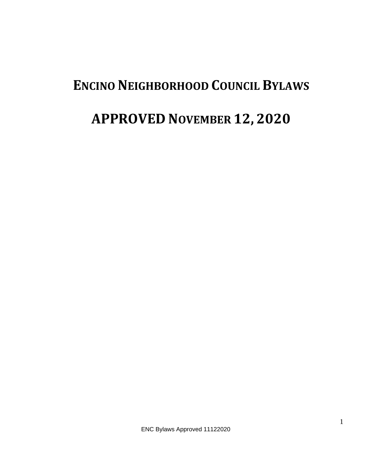# **ENCINO NEIGHBORHOOD COUNCIL BYLAWS**

# **APPROVED NOVEMBER 12, 2020**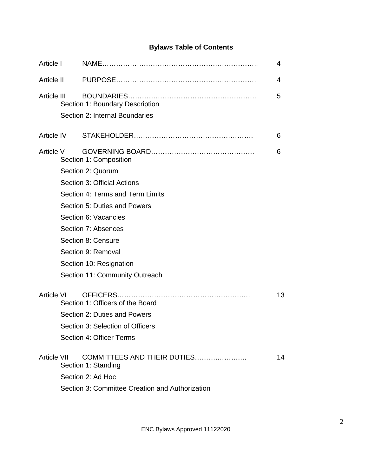# **Bylaws Table of Contents**

| Article I         |                                                 |                                                    | 4  |  |  |  |  |
|-------------------|-------------------------------------------------|----------------------------------------------------|----|--|--|--|--|
| Article II        |                                                 |                                                    | 4  |  |  |  |  |
| Article III       |                                                 | Section 1: Boundary Description                    | 5  |  |  |  |  |
|                   |                                                 | Section 2: Internal Boundaries                     |    |  |  |  |  |
| Article IV        |                                                 |                                                    | 6  |  |  |  |  |
| Article V         |                                                 | Section 1: Composition                             | 6  |  |  |  |  |
|                   |                                                 | Section 2: Quorum                                  |    |  |  |  |  |
|                   |                                                 | Section 3: Official Actions                        |    |  |  |  |  |
|                   |                                                 | Section 4: Terms and Term Limits                   |    |  |  |  |  |
|                   | Section 5: Duties and Powers                    |                                                    |    |  |  |  |  |
|                   |                                                 | Section 6: Vacancies                               |    |  |  |  |  |
|                   |                                                 | Section 7: Absences                                |    |  |  |  |  |
|                   |                                                 | Section 8: Censure                                 |    |  |  |  |  |
|                   |                                                 | Section 9: Removal                                 |    |  |  |  |  |
|                   |                                                 | Section 10: Resignation                            |    |  |  |  |  |
|                   |                                                 | Section 11: Community Outreach                     |    |  |  |  |  |
| <b>Article VI</b> | Section 1: Officers of the Board                |                                                    |    |  |  |  |  |
|                   | Section 2: Duties and Powers                    |                                                    |    |  |  |  |  |
|                   | Section 3: Selection of Officers                |                                                    |    |  |  |  |  |
|                   |                                                 | Section 4: Officer Terms                           |    |  |  |  |  |
| Article VII       |                                                 | COMMITTEES AND THEIR DUTIES<br>Section 1: Standing | 14 |  |  |  |  |
|                   |                                                 | Section 2: Ad Hoc                                  |    |  |  |  |  |
|                   | Section 3: Committee Creation and Authorization |                                                    |    |  |  |  |  |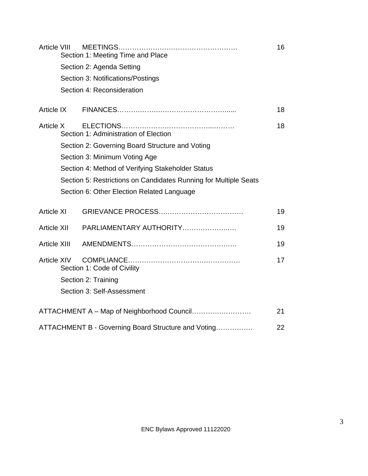| Article VIII        | Section 1: Meeting Time and Place                                |                                                     |    |  |  |
|---------------------|------------------------------------------------------------------|-----------------------------------------------------|----|--|--|
|                     | Section 2: Agenda Setting                                        |                                                     |    |  |  |
|                     |                                                                  | Section 3: Notifications/Postings                   |    |  |  |
|                     |                                                                  | Section 4: Reconsideration                          |    |  |  |
| Article IX          |                                                                  |                                                     | 18 |  |  |
| Article X           |                                                                  | Section 1: Administration of Election               | 18 |  |  |
|                     |                                                                  | Section 2: Governing Board Structure and Voting     |    |  |  |
|                     | Section 3: Minimum Voting Age                                    |                                                     |    |  |  |
|                     | Section 4: Method of Verifying Stakeholder Status                |                                                     |    |  |  |
|                     | Section 5: Restrictions on Candidates Running for Multiple Seats |                                                     |    |  |  |
|                     | Section 6: Other Election Related Language                       |                                                     |    |  |  |
| <b>Article XI</b>   |                                                                  |                                                     | 19 |  |  |
| <b>Article XII</b>  |                                                                  | PARLIAMENTARY AUTHORITY                             | 19 |  |  |
| <b>Article XIII</b> |                                                                  |                                                     | 19 |  |  |
| <b>Article XIV</b>  | Section 1: Code of Civility                                      |                                                     |    |  |  |
|                     | Section 2: Training                                              |                                                     |    |  |  |
|                     | Section 3: Self-Assessment                                       |                                                     |    |  |  |
|                     |                                                                  | ATTACHMENT A - Map of Neighborhood Council          | 21 |  |  |
|                     |                                                                  | ATTACHMENT B - Governing Board Structure and Voting | 22 |  |  |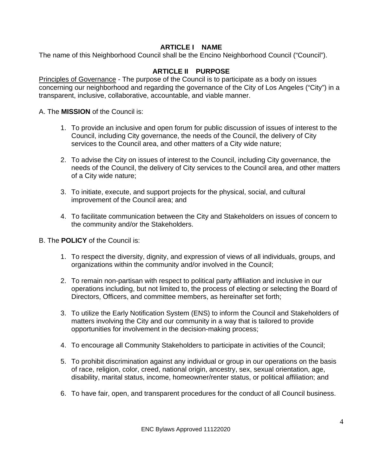# **ARTICLE I NAME**

The name of this Neighborhood Council shall be the Encino Neighborhood Council ("Council").

# **ARTICLE II PURPOSE**

Principles of Governance - The purpose of the Council is to participate as a body on issues concerning our neighborhood and regarding the governance of the City of Los Angeles ("City") in a transparent, inclusive, collaborative, accountable, and viable manner.

A. The **MISSION** of the Council is:

- 1. To provide an inclusive and open forum for public discussion of issues of interest to the Council, including City governance, the needs of the Council, the delivery of City services to the Council area, and other matters of a City wide nature;
- 2. To advise the City on issues of interest to the Council, including City governance, the needs of the Council, the delivery of City services to the Council area, and other matters of a City wide nature;
- 3. To initiate, execute, and support projects for the physical, social, and cultural improvement of the Council area; and
- 4. To facilitate communication between the City and Stakeholders on issues of concern to the community and/or the Stakeholders.

B. The **POLICY** of the Council is:

- 1. To respect the diversity, dignity, and expression of views of all individuals, groups, and organizations within the community and/or involved in the Council;
- 2. To remain non-partisan with respect to political party affiliation and inclusive in our operations including, but not limited to, the process of electing or selecting the Board of Directors, Officers, and committee members, as hereinafter set forth;
- 3. To utilize the Early Notification System (ENS) to inform the Council and Stakeholders of matters involving the City and our community in a way that is tailored to provide opportunities for involvement in the decision-making process;
- 4. To encourage all Community Stakeholders to participate in activities of the Council;
- 5. To prohibit discrimination against any individual or group in our operations on the basis of race, religion, color, creed, national origin, ancestry, sex, sexual orientation, age, disability, marital status, income, homeowner/renter status, or political affiliation; and
- 6. To have fair, open, and transparent procedures for the conduct of all Council business.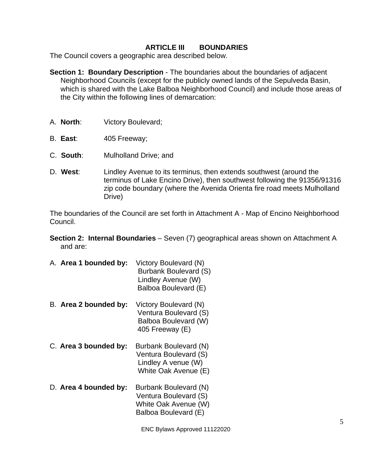#### **ARTICLE III BOUNDARIES**

The Council covers a geographic area described below.

- **Section 1: Boundary Description** The boundaries about the boundaries of adjacent Neighborhood Councils (except for the publicly owned lands of the Sepulveda Basin, which is shared with the Lake Balboa Neighborhood Council) and include those areas of the City within the following lines of demarcation:
- A. **North**: Victory Boulevard;
- B. **East**: 405 Freeway;
- C. **South**: Mulholland Drive; and
- D. **West**: Lindley Avenue to its terminus, then extends southwest (around the terminus of Lake Encino Drive), then southwest following the 91356/91316 zip code boundary (where the Avenida Orienta fire road meets Mulholland Drive)

The boundaries of the Council are set forth in Attachment A - Map of Encino Neighborhood Council.

- **Section 2: Internal Boundaries** Seven (7) geographical areas shown on Attachment A and are:
- A. **Area 1 bounded by:** Victory Boulevard (N) Burbank Boulevard (S) Lindley Avenue (W) Balboa Boulevard (E)
- B. **Area 2 bounded by:** Victory Boulevard (N) Ventura Boulevard (S) Balboa Boulevard (W) 405 Freeway (E)
- C. **Area 3 bounded by:** Burbank Boulevard (N) Ventura Boulevard (S) Lindley A venue (W) White Oak Avenue (E)
- D. **Area 4 bounded by:** Burbank Boulevard (N) Ventura Boulevard (S) White Oak Avenue (W) Balboa Boulevard (E)

ENC Bylaws Approved 11122020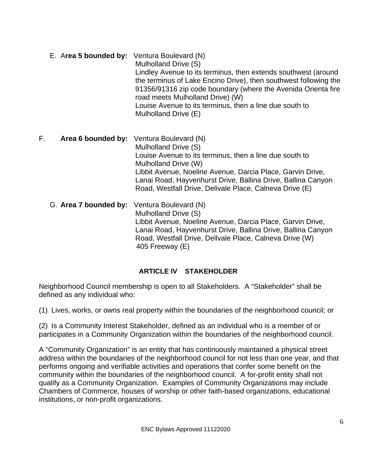E. A**rea 5 bounded by:** Ventura Boulevard (N) Mulholland Drive (S) Lindley Avenue to its terminus, then extends southwest (around the terminus of Lake Encino Drive), then southwest following the 91356/91316 zip code boundary (where the Avenida Orienta fire road meets Mulholland Drive) (W) Louise Avenue to its terminus, then a line due south to Mulholland Drive (E)

F. **Area 6 bounded by:** Ventura Boulevard (N) Mulholland Drive (S) Louise Avenue to its terminus, then a line due south to Mulholland Drive (W) Libbit Avenue, Noeline Avenue, Darcia Place, Garvin Drive, Lanai Road, Hayvenhurst Drive, Ballina Drive, Ballina Canyon Road, Westfall Drive, Delivale Place, Calneva Drive (E)

G. **Area 7 bounded by:** Ventura Boulevard (N) Mulholland Drive (S) Libbit Avenue, Noeline Avenue, Darcia Place, Garvin Drive, Lanai Road, Hayvenhurst Drive, Ballina Drive, Ballina Canyon Road, Westfall Drive, Dellvale Place, Calneva Drive (W) 405 Freeway (E)

# **ARTICLE IV STAKEHOLDER**

Neighborhood Council membership is open to all Stakeholders. A "Stakeholder" shall be defined as any individual who:

(1) Lives, works, or owns real property within the boundaries of the neighborhood council; or

(2) Is a Community Interest Stakeholder, defined as an individual who is a member of or participates in a Community Organization within the boundaries of the neighborhood council.

A "Community Organization" is an entity that has continuously maintained a physical street address within the boundaries of the neighborhood council for not less than one year, and that performs ongoing and verifiable activities and operations that confer some benefit on the community within the boundaries of the neighborhood council. A for-profit entity shall not qualify as a Community Organization. Examples of Community Organizations may include Chambers of Commerce, houses of worship or other faith-based organizations, educational institutions, or non-profit organizations.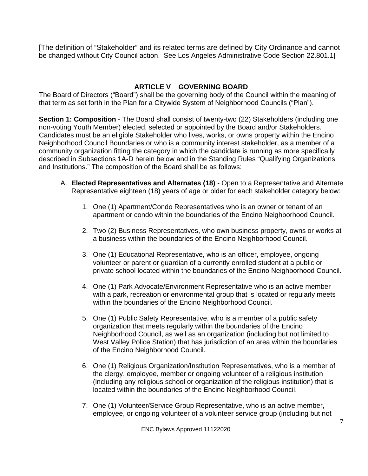[The definition of "Stakeholder" and its related terms are defined by City Ordinance and cannot be changed without City Council action. See Los Angeles Administrative Code Section 22.801.1]

# **ARTICLE V GOVERNING BOARD**

The Board of Directors ("Board") shall be the governing body of the Council within the meaning of that term as set forth in the Plan for a Citywide System of Neighborhood Councils ("Plan").

**Section 1: Composition** - The Board shall consist of twenty-two (22) Stakeholders (including one non-voting Youth Member) elected, selected or appointed by the Board and/or Stakeholders. Candidates must be an eligible Stakeholder who lives, works, or owns property within the Encino Neighborhood Council Boundaries or who is a community interest stakeholder, as a member of a community organization fitting the category in which the candidate is running as more specifically described in Subsections 1A-D herein below and in the Standing Rules "Qualifying Organizations and Institutions." The composition of the Board shall be as follows:

- A. **Elected Representatives and Alternates (18)** Open to a Representative and Alternate Representative eighteen (18) years of age or older for each stakeholder category below:
	- 1. One (1) Apartment/Condo Representatives who is an owner or tenant of an apartment or condo within the boundaries of the Encino Neighborhood Council.
	- 2. Two (2) Business Representatives, who own business property, owns or works at a business within the boundaries of the Encino Neighborhood Council.
	- 3. One (1) Educational Representative, who is an officer, employee, ongoing volunteer or parent or guardian of a currently enrolled student at a public or private school located within the boundaries of the Encino Neighborhood Council.
	- 4. One (1) Park Advocate/Environment Representative who is an active member with a park, recreation or environmental group that is located or regularly meets within the boundaries of the Encino Neighborhood Council.
	- 5. One (1) Public Safety Representative, who is a member of a public safety organization that meets regularly within the boundaries of the Encino Neighborhood Council, as well as an organization (including but not limited to West Valley Police Station) that has jurisdiction of an area within the boundaries of the Encino Neighborhood Council.
	- 6. One (1) Religious Organization/Institution Representatives, who is a member of the clergy, employee, member or ongoing volunteer of a religious institution (including any religious school or organization of the religious institution) that is located within the boundaries of the Encino Neighborhood Council.
	- 7. One (1) Volunteer/Service Group Representative, who is an active member, employee, or ongoing volunteer of a volunteer service group (including but not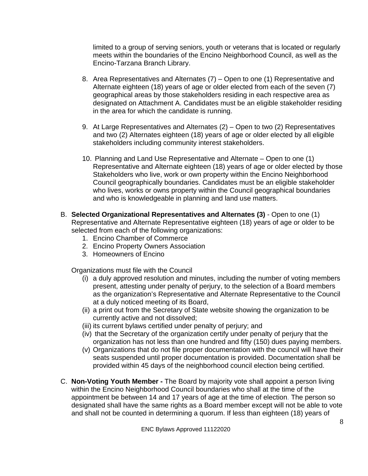limited to a group of serving seniors, youth or veterans that is located or regularly meets within the boundaries of the Encino Neighborhood Council, as well as the Encino-Tarzana Branch Library.

- 8. Area Representatives and Alternates (7) Open to one (1) Representative and Alternate eighteen (18) years of age or older elected from each of the seven (7) geographical areas by those stakeholders residing in each respective area as designated on Attachment A. Candidates must be an eligible stakeholder residing in the area for which the candidate is running.
- 9. At Large Representatives and Alternates (2) Open to two (2) Representatives and two (2) Alternates eighteen (18) years of age or older elected by all eligible stakeholders including community interest stakeholders.
- 10. Planning and Land Use Representative and Alternate Open to one (1) Representative and Alternate eighteen (18) years of age or older elected by those Stakeholders who live, work or own property within the Encino Neighborhood Council geographically boundaries. Candidates must be an eligible stakeholder who lives, works or owns property within the Council geographical boundaries and who is knowledgeable in planning and land use matters.
- B. **Selected Organizational Representatives and Alternates (3)** Open to one (1) Representative and Alternate Representative eighteen (18) years of age or older to be selected from each of the following organizations:
	- 1. Encino Chamber of Commerce
	- 2. Encino Property Owners Association
	- 3. Homeowners of Encino

Organizations must file with the Council

- (i) a duly approved resolution and minutes, including the number of voting members present, attesting under penalty of perjury, to the selection of a Board members as the organization's Representative and Alternate Representative to the Council at a duly noticed meeting of its Board,
- (ii) a print out from the Secretary of State website showing the organization to be currently active and not dissolved;
- (iii) its current bylaws certified under penalty of perjury; and
- (iv) that the Secretary of the organization certify under penalty of perjury that the organization has not less than one hundred and fifty (150) dues paying members.
- (v) Organizations that do not file proper documentation with the council will have their seats suspended until proper documentation is provided. Documentation shall be provided within 45 days of the neighborhood council election being certified.
- C. **Non-Voting Youth Member -** The Board by majority vote shall appoint a person living within the Encino Neighborhood Council boundaries who shall at the time of the appointment be between 14 and 17 years of age at the time of election. The person so designated shall have the same rights as a Board member except will not be able to vote and shall not be counted in determining a quorum. If less than eighteen (18) years of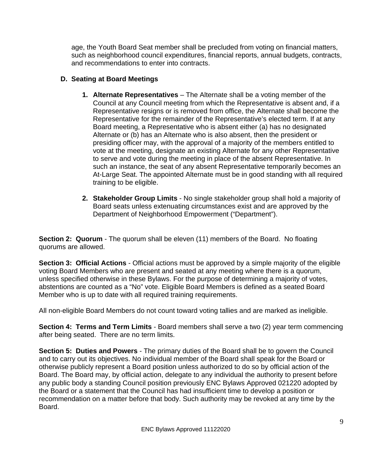age, the Youth Board Seat member shall be precluded from voting on financial matters, such as neighborhood council expenditures, financial reports, annual budgets, contracts, and recommendations to enter into contracts.

# **D. Seating at Board Meetings**

- **1. Alternate Representatives** The Alternate shall be a voting member of the Council at any Council meeting from which the Representative is absent and, if a Representative resigns or is removed from office, the Alternate shall become the Representative for the remainder of the Representative's elected term. If at any Board meeting, a Representative who is absent either (a) has no designated Alternate or (b) has an Alternate who is also absent, then the president or presiding officer may, with the approval of a majority of the members entitled to vote at the meeting, designate an existing Alternate for any other Representative to serve and vote during the meeting in place of the absent Representative. In such an instance, the seat of any absent Representative temporarily becomes an At-Large Seat. The appointed Alternate must be in good standing with all required training to be eligible.
- **2. Stakeholder Group Limits** No single stakeholder group shall hold a majority of Board seats unless extenuating circumstances exist and are approved by the Department of Neighborhood Empowerment ("Department").

**Section 2: Quorum** - The quorum shall be eleven (11) members of the Board. No floating quorums are allowed.

**Section 3: Official Actions** - Official actions must be approved by a simple majority of the eligible voting Board Members who are present and seated at any meeting where there is a quorum, unless specified otherwise in these Bylaws. For the purpose of determining a majority of votes, abstentions are counted as a "No" vote. Eligible Board Members is defined as a seated Board Member who is up to date with all required training requirements.

All non-eligible Board Members do not count toward voting tallies and are marked as ineligible.

**Section 4: Terms and Term Limits** - Board members shall serve a two (2) year term commencing after being seated. There are no term limits.

**Section 5: Duties and Powers** - The primary duties of the Board shall be to govern the Council and to carry out its objectives. No individual member of the Board shall speak for the Board or otherwise publicly represent a Board position unless authorized to do so by official action of the Board. The Board may, by official action, delegate to any individual the authority to present before any public body a standing Council position previously ENC Bylaws Approved 021220 adopted by the Board or a statement that the Council has had insufficient time to develop a position or recommendation on a matter before that body. Such authority may be revoked at any time by the Board.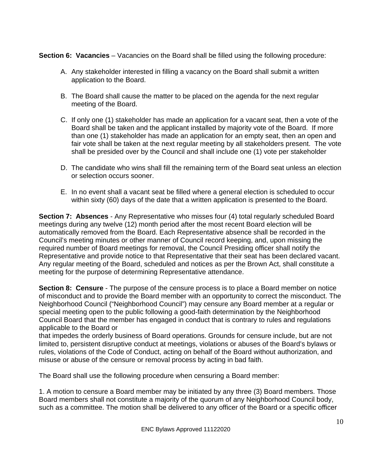**Section 6: Vacancies** – Vacancies on the Board shall be filled using the following procedure:

- A. Any stakeholder interested in filling a vacancy on the Board shall submit a written application to the Board.
- B. The Board shall cause the matter to be placed on the agenda for the next regular meeting of the Board.
- C. If only one (1) stakeholder has made an application for a vacant seat, then a vote of the Board shall be taken and the applicant installed by majority vote of the Board. If more than one (1) stakeholder has made an application for an empty seat, then an open and fair vote shall be taken at the next regular meeting by all stakeholders present. The vote shall be presided over by the Council and shall include one (1) vote per stakeholder
- D. The candidate who wins shall fill the remaining term of the Board seat unless an election or selection occurs sooner.
- E. In no event shall a vacant seat be filled where a general election is scheduled to occur within sixty (60) days of the date that a written application is presented to the Board.

**Section 7: Absences** - Any Representative who misses four (4) total regularly scheduled Board meetings during any twelve (12) month period after the most recent Board election will be automatically removed from the Board. Each Representative absence shall be recorded in the Council's meeting minutes or other manner of Council record keeping, and, upon missing the required number of Board meetings for removal, the Council Presiding officer shall notify the Representative and provide notice to that Representative that their seat has been declared vacant. Any regular meeting of the Board, scheduled and notices as per the Brown Act, shall constitute a meeting for the purpose of determining Representative attendance.

**Section 8: Censure** - The purpose of the censure process is to place a Board member on notice of misconduct and to provide the Board member with an opportunity to correct the misconduct. The Neighborhood Council ("Neighborhood Council") may censure any Board member at a regular or special meeting open to the public following a good-faith determination by the Neighborhood Council Board that the member has engaged in conduct that is contrary to rules and regulations applicable to the Board or

that impedes the orderly business of Board operations. Grounds for censure include, but are not limited to, persistent disruptive conduct at meetings, violations or abuses of the Board's bylaws or rules, violations of the Code of Conduct, acting on behalf of the Board without authorization, and misuse or abuse of the censure or removal process by acting in bad faith.

The Board shall use the following procedure when censuring a Board member:

1. A motion to censure a Board member may be initiated by any three (3) Board members. Those Board members shall not constitute a majority of the quorum of any Neighborhood Council body, such as a committee. The motion shall be delivered to any officer of the Board or a specific officer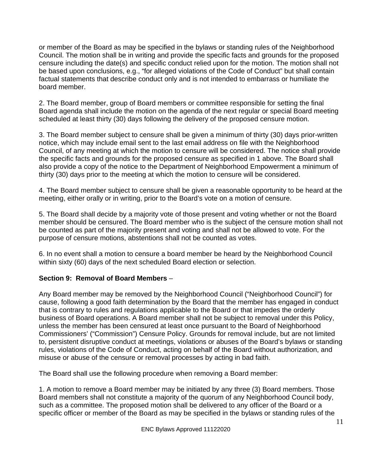or member of the Board as may be specified in the bylaws or standing rules of the Neighborhood Council. The motion shall be in writing and provide the specific facts and grounds for the proposed censure including the date(s) and specific conduct relied upon for the motion. The motion shall not be based upon conclusions, e.g., "for alleged violations of the Code of Conduct" but shall contain factual statements that describe conduct only and is not intended to embarrass or humiliate the board member.

2. The Board member, group of Board members or committee responsible for setting the final Board agenda shall include the motion on the agenda of the next regular or special Board meeting scheduled at least thirty (30) days following the delivery of the proposed censure motion.

3. The Board member subject to censure shall be given a minimum of thirty (30) days prior-written notice, which may include email sent to the last email address on file with the Neighborhood Council, of any meeting at which the motion to censure will be considered. The notice shall provide the specific facts and grounds for the proposed censure as specified in 1 above. The Board shall also provide a copy of the notice to the Department of Neighborhood Empowerment a minimum of thirty (30) days prior to the meeting at which the motion to censure will be considered.

4. The Board member subject to censure shall be given a reasonable opportunity to be heard at the meeting, either orally or in writing, prior to the Board's vote on a motion of censure.

5. The Board shall decide by a majority vote of those present and voting whether or not the Board member should be censured. The Board member who is the subject of the censure motion shall not be counted as part of the majority present and voting and shall not be allowed to vote. For the purpose of censure motions, abstentions shall not be counted as votes.

6. In no event shall a motion to censure a board member be heard by the Neighborhood Council within sixty (60) days of the next scheduled Board election or selection.

#### **Section 9: Removal of Board Members** –

Any Board member may be removed by the Neighborhood Council ("Neighborhood Council") for cause, following a good faith determination by the Board that the member has engaged in conduct that is contrary to rules and regulations applicable to the Board or that impedes the orderly business of Board operations. A Board member shall not be subject to removal under this Policy, unless the member has been censured at least once pursuant to the Board of Neighborhood Commissioners' ("Commission") Censure Policy. Grounds for removal include, but are not limited to, persistent disruptive conduct at meetings, violations or abuses of the Board's bylaws or standing rules, violations of the Code of Conduct, acting on behalf of the Board without authorization, and misuse or abuse of the censure or removal processes by acting in bad faith.

The Board shall use the following procedure when removing a Board member:

1. A motion to remove a Board member may be initiated by any three (3) Board members. Those Board members shall not constitute a majority of the quorum of any Neighborhood Council body, such as a committee. The proposed motion shall be delivered to any officer of the Board or a specific officer or member of the Board as may be specified in the bylaws or standing rules of the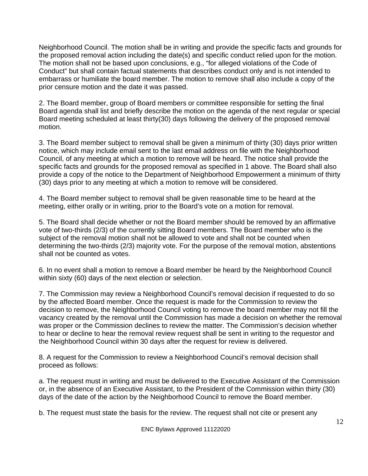Neighborhood Council. The motion shall be in writing and provide the specific facts and grounds for the proposed removal action including the date(s) and specific conduct relied upon for the motion. The motion shall not be based upon conclusions, e.g., "for alleged violations of the Code of Conduct" but shall contain factual statements that describes conduct only and is not intended to embarrass or humiliate the board member. The motion to remove shall also include a copy of the prior censure motion and the date it was passed.

2. The Board member, group of Board members or committee responsible for setting the final Board agenda shall list and briefly describe the motion on the agenda of the next regular or special Board meeting scheduled at least thirty(30) days following the delivery of the proposed removal motion.

3. The Board member subject to removal shall be given a minimum of thirty (30) days prior written notice, which may include email sent to the last email address on file with the Neighborhood Council, of any meeting at which a motion to remove will be heard. The notice shall provide the specific facts and grounds for the proposed removal as specified in 1 above. The Board shall also provide a copy of the notice to the Department of Neighborhood Empowerment a minimum of thirty (30) days prior to any meeting at which a motion to remove will be considered.

4. The Board member subject to removal shall be given reasonable time to be heard at the meeting, either orally or in writing, prior to the Board's vote on a motion for removal.

5. The Board shall decide whether or not the Board member should be removed by an affirmative vote of two-thirds (2/3) of the currently sitting Board members. The Board member who is the subject of the removal motion shall not be allowed to vote and shall not be counted when determining the two-thirds (2/3) majority vote. For the purpose of the removal motion, abstentions shall not be counted as votes.

6. In no event shall a motion to remove a Board member be heard by the Neighborhood Council within sixty (60) days of the next election or selection.

7. The Commission may review a Neighborhood Council's removal decision if requested to do so by the affected Board member. Once the request is made for the Commission to review the decision to remove, the Neighborhood Council voting to remove the board member may not fill the vacancy created by the removal until the Commission has made a decision on whether the removal was proper or the Commission declines to review the matter. The Commission's decision whether to hear or decline to hear the removal review request shall be sent in writing to the requestor and the Neighborhood Council within 30 days after the request for review is delivered.

8. A request for the Commission to review a Neighborhood Council's removal decision shall proceed as follows:

a. The request must in writing and must be delivered to the Executive Assistant of the Commission or, in the absence of an Executive Assistant, to the President of the Commission within thirty (30) days of the date of the action by the Neighborhood Council to remove the Board member.

b. The request must state the basis for the review. The request shall not cite or present any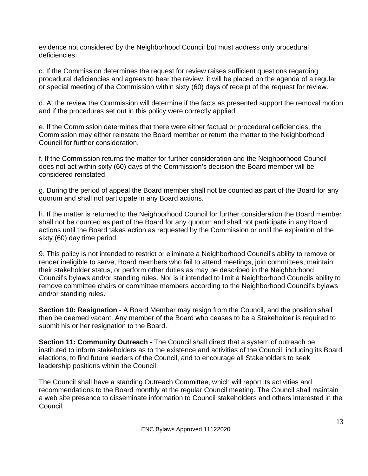evidence not considered by the Neighborhood Council but must address only procedural deficiencies.

c. If the Commission determines the request for review raises sufficient questions regarding procedural deficiencies and agrees to hear the review, it will be placed on the agenda of a regular or special meeting of the Commission within sixty (60) days of receipt of the request for review.

d. At the review the Commission will determine if the facts as presented support the removal motion and if the procedures set out in this policy were correctly applied.

e. If the Commission determines that there were either factual or procedural deficiencies, the Commission may either reinstate the Board member or return the matter to the Neighborhood Council for further consideration.

f. If the Commission returns the matter for further consideration and the Neighborhood Council does not act within sixty (60) days of the Commission's decision the Board member will be considered reinstated.

g. During the period of appeal the Board member shall not be counted as part of the Board for any quorum and shall not participate in any Board actions.

h. If the matter is returned to the Neighborhood Council for further consideration the Board member shall not be counted as part of the Board for any quorum and shall not participate in any Board actions until the Board takes action as requested by the Commission or until the expiration of the sixty (60) day time period.

9. This policy is not intended to restrict or eliminate a Neighborhood Council's ability to remove or render ineligible to serve, Board members who fail to attend meetings, join committees, maintain their stakeholder status, or perform other duties as may be described in the Neighborhood Council's bylaws and/or standing rules. Nor is it intended to limit a Neighborhood Councils ability to remove committee chairs or committee members according to the Neighborhood Council's bylaws and/or standing rules.

**Section 10: Resignation -** A Board Member may resign from the Council, and the position shall then be deemed vacant. Any member of the Board who ceases to be a Stakeholder is required to submit his or her resignation to the Board.

**Section 11: Community Outreach -** The Council shall direct that a system of outreach be instituted to inform stakeholders as to the existence and activities of the Council, including its Board elections, to find future leaders of the Council, and to encourage all Stakeholders to seek leadership positions within the Council.

The Council shall have a standing Outreach Committee, which will report its activities and recommendations to the Board monthly at the regular Council meeting. The Council shall maintain a web site presence to disseminate information to Council stakeholders and others interested in the Council.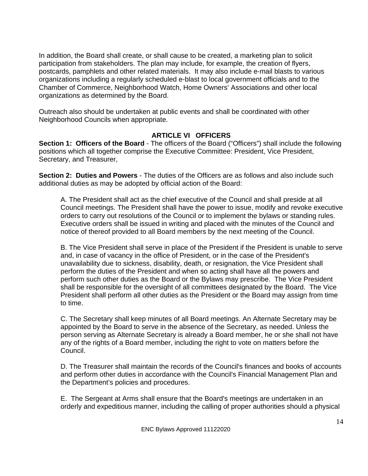In addition, the Board shall create, or shall cause to be created, a marketing plan to solicit participation from stakeholders. The plan may include, for example, the creation of flyers, postcards, pamphlets and other related materials. It may also include e-mail blasts to various organizations including a regularly scheduled e-blast to local government officials and to the Chamber of Commerce, Neighborhood Watch, Home Owners' Associations and other local organizations as determined by the Board.

Outreach also should be undertaken at public events and shall be coordinated with other Neighborhood Councils when appropriate.

#### **ARTICLE VI OFFICERS**

**Section 1: Officers of the Board** - The officers of the Board ("Officers") shall include the following positions which all together comprise the Executive Committee: President, Vice President, Secretary, and Treasurer,

**Section 2: Duties and Powers** - The duties of the Officers are as follows and also include such additional duties as may be adopted by official action of the Board:

A. The President shall act as the chief executive of the Council and shall preside at all Council meetings. The President shall have the power to issue, modify and revoke executive orders to carry out resolutions of the Council or to implement the bylaws or standing rules. Executive orders shall be issued in writing and placed with the minutes of the Council and notice of thereof provided to all Board members by the next meeting of the Council.

B. The Vice President shall serve in place of the President if the President is unable to serve and, in case of vacancy in the office of President, or in the case of the President's unavailability due to sickness, disability, death, or resignation, the Vice President shall perform the duties of the President and when so acting shall have all the powers and perform such other duties as the Board or the Bylaws may prescribe. The Vice President shall be responsible for the oversight of all committees designated by the Board. The Vice President shall perform all other duties as the President or the Board may assign from time to time.

C. The Secretary shall keep minutes of all Board meetings. An Alternate Secretary may be appointed by the Board to serve in the absence of the Secretary, as needed. Unless the person serving as Alternate Secretary is already a Board member, he or she shall not have any of the rights of a Board member, including the right to vote on matters before the Council.

D. The Treasurer shall maintain the records of the Council's finances and books of accounts and perform other duties in accordance with the Council's Financial Management Plan and the Department's policies and procedures.

E. The Sergeant at Arms shall ensure that the Board's meetings are undertaken in an orderly and expeditious manner, including the calling of proper authorities should a physical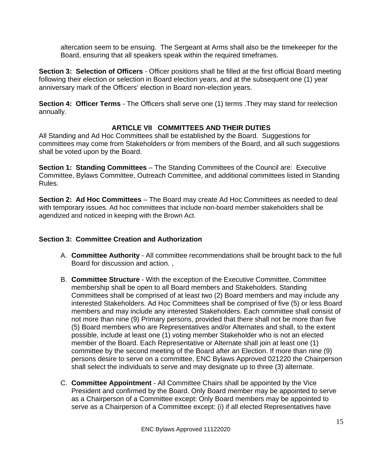altercation seem to be ensuing. The Sergeant at Arms shall also be the timekeeper for the Board, ensuring that all speakers speak within the required timeframes.

**Section 3: Selection of Officers** - Officer positions shall be filled at the first official Board meeting following their election or selection in Board election years, and at the subsequent one (1) year anniversary mark of the Officers' election in Board non-election years.

**Section 4: Officer Terms** - The Officers shall serve one (1) terms . They may stand for reelection annually.

#### **ARTICLE VII COMMITTEES AND THEIR DUTIES**

All Standing and Ad Hoc Committees shall be established by the Board. Suggestions for committees may come from Stakeholders or from members of the Board, and all such suggestions shall be voted upon by the Board.

**Section 1: Standing Committees** – The Standing Committees of the Council are: Executive Committee, Bylaws Committee, Outreach Committee, and additional committees listed in Standing Rules.

**Section 2: Ad Hoc Committees** – The Board may create Ad Hoc Committees as needed to deal with temporary issues. Ad hoc committees that include non-board member stakeholders shall be agendized and noticed in keeping with the Brown Act.

#### **Section 3: Committee Creation and Authorization**

- A. **Committee Authority** All committee recommendations shall be brought back to the full Board for discussion and action. ,
- B. **Committee Structure** With the exception of the Executive Committee, Committee membership shall be open to all Board members and Stakeholders. Standing Committees shall be comprised of at least two (2) Board members and may include any interested Stakeholders. Ad Hoc Committees shall be comprised of five (5) or less Board members and may include any interested Stakeholders. Each committee shall consist of not more than nine (9) Primary persons, provided that there shall not be more than five (5) Board members who are Representatives and/or Alternates and shall, to the extent possible, include at least one (1) voting member Stakeholder who is not an elected member of the Board. Each Representative or Alternate shall join at least one (1) committee by the second meeting of the Board after an Election. If more than nine (9) persons desire to serve on a committee, ENC Bylaws Approved 021220 the Chairperson shall select the individuals to serve and may designate up to three (3) alternate.
- C. **Committee Appointment** All Committee Chairs shall be appointed by the Vice President and confirmed by the Board. Only Board member may be appointed to serve as a Chairperson of a Committee except: Only Board members may be appointed to serve as a Chairperson of a Committee except: (i) if all elected Representatives have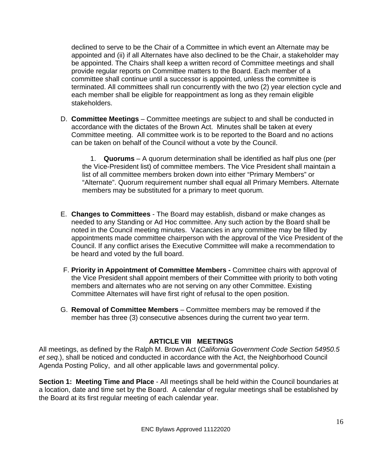declined to serve to be the Chair of a Committee in which event an Alternate may be appointed and (ii) if all Alternates have also declined to be the Chair, a stakeholder may be appointed. The Chairs shall keep a written record of Committee meetings and shall provide regular reports on Committee matters to the Board. Each member of a committee shall continue until a successor is appointed, unless the committee is terminated. All committees shall run concurrently with the two (2) year election cycle and each member shall be eligible for reappointment as long as they remain eligible stakeholders.

D. **Committee Meetings** – Committee meetings are subject to and shall be conducted in accordance with the dictates of the Brown Act. Minutes shall be taken at every Committee meeting. All committee work is to be reported to the Board and no actions can be taken on behalf of the Council without a vote by the Council.

1. **Quorums** – A quorum determination shall be identified as half plus one (per the Vice-President list) of committee members. The Vice President shall maintain a list of all committee members broken down into either "Primary Members" or "Alternate". Quorum requirement number shall equal all Primary Members. Alternate members may be substituted for a primary to meet quorum.

- E. **Changes to Committees** The Board may establish, disband or make changes as needed to any Standing or Ad Hoc committee. Any such action by the Board shall be noted in the Council meeting minutes. Vacancies in any committee may be filled by appointments made committee chairperson with the approval of the Vice President of the Council. If any conflict arises the Executive Committee will make a recommendation to be heard and voted by the full board.
- F. **Priority in Appointment of Committee Members -** Committee chairs with approval of the Vice President shall appoint members of their Committee with priority to both voting members and alternates who are not serving on any other Committee. Existing Committee Alternates will have first right of refusal to the open position.
- G. **Removal of Committee Members** Committee members may be removed if the member has three (3) consecutive absences during the current two year term.

#### **ARTICLE VIII MEETINGS**

All meetings, as defined by the Ralph M. Brown Act (*California Government Code Section 54950.5 et seq.*), shall be noticed and conducted in accordance with the Act, the Neighborhood Council Agenda Posting Policy, and all other applicable laws and governmental policy.

**Section 1: Meeting Time and Place** - All meetings shall be held within the Council boundaries at a location, date and time set by the Board. A calendar of regular meetings shall be established by the Board at its first regular meeting of each calendar year.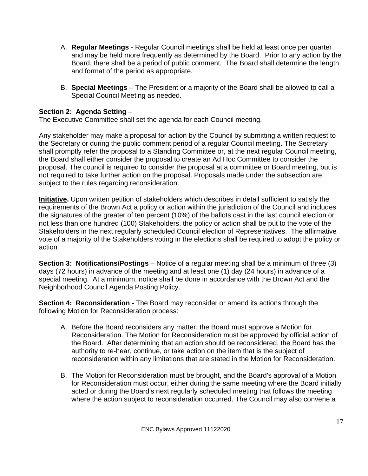- A. **Regular Meetings** Regular Council meetings shall be held at least once per quarter and may be held more frequently as determined by the Board. Prior to any action by the Board, there shall be a period of public comment. The Board shall determine the length and format of the period as appropriate.
- B. **Special Meetings** The President or a majority of the Board shall be allowed to call a Special Council Meeting as needed.

#### **Section 2: Agenda Setting** –

The Executive Committee shall set the agenda for each Council meeting.

Any stakeholder may make a proposal for action by the Council by submitting a written request to the Secretary or during the public comment period of a regular Council meeting. The Secretary shall promptly refer the proposal to a Standing Committee or, at the next regular Council meeting, the Board shall either consider the proposal to create an Ad Hoc Committee to consider the proposal. The council is required to consider the proposal at a committee or Board meeting, but is not required to take further action on the proposal. Proposals made under the subsection are subject to the rules regarding reconsideration.

**Initiative.** Upon written petition of stakeholders which describes in detail sufficient to satisfy the requirements of the Brown Act a policy or action within the jurisdiction of the Council and includes the signatures of the greater of ten percent (10%) of the ballots cast in the last council election or not less than one hundred (100) Stakeholders, the policy or action shall be put to the vote of the Stakeholders in the next regularly scheduled Council election of Representatives. The affirmative vote of a majority of the Stakeholders voting in the elections shall be required to adopt the policy or action

**Section 3: Notifications/Postings** – Notice of a regular meeting shall be a minimum of three (3) days (72 hours) in advance of the meeting and at least one (1) day (24 hours) in advance of a special meeting. At a minimum, notice shall be done in accordance with the Brown Act and the Neighborhood Council Agenda Posting Policy.

**Section 4: Reconsideration** - The Board may reconsider or amend its actions through the following Motion for Reconsideration process:

- A. Before the Board reconsiders any matter, the Board must approve a Motion for Reconsideration. The Motion for Reconsideration must be approved by official action of the Board. After determining that an action should be reconsidered, the Board has the authority to re-hear, continue, or take action on the item that is the subject of reconsideration within any limitations that are stated in the Motion for Reconsideration.
- B. The Motion for Reconsideration must be brought, and the Board's approval of a Motion for Reconsideration must occur, either during the same meeting where the Board initially acted or during the Board's next regularly scheduled meeting that follows the meeting where the action subject to reconsideration occurred. The Council may also convene a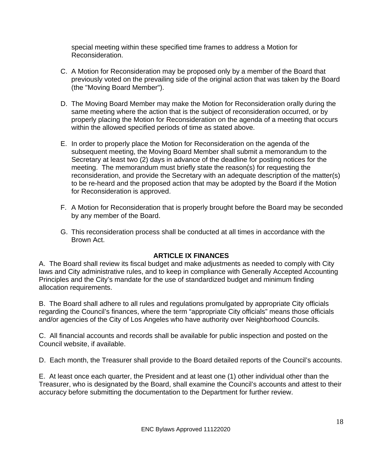special meeting within these specified time frames to address a Motion for Reconsideration.

- C. A Motion for Reconsideration may be proposed only by a member of the Board that previously voted on the prevailing side of the original action that was taken by the Board (the "Moving Board Member").
- D. The Moving Board Member may make the Motion for Reconsideration orally during the same meeting where the action that is the subject of reconsideration occurred, or by properly placing the Motion for Reconsideration on the agenda of a meeting that occurs within the allowed specified periods of time as stated above.
- E. In order to properly place the Motion for Reconsideration on the agenda of the subsequent meeting, the Moving Board Member shall submit a memorandum to the Secretary at least two (2) days in advance of the deadline for posting notices for the meeting. The memorandum must briefly state the reason(s) for requesting the reconsideration, and provide the Secretary with an adequate description of the matter(s) to be re-heard and the proposed action that may be adopted by the Board if the Motion for Reconsideration is approved.
- F. A Motion for Reconsideration that is properly brought before the Board may be seconded by any member of the Board.
- G. This reconsideration process shall be conducted at all times in accordance with the Brown Act.

#### **ARTICLE IX FINANCES**

A. The Board shall review its fiscal budget and make adjustments as needed to comply with City laws and City administrative rules, and to keep in compliance with Generally Accepted Accounting Principles and the City's mandate for the use of standardized budget and minimum finding allocation requirements.

B. The Board shall adhere to all rules and regulations promulgated by appropriate City officials regarding the Council's finances, where the term "appropriate City officials" means those officials and/or agencies of the City of Los Angeles who have authority over Neighborhood Councils.

C. All financial accounts and records shall be available for public inspection and posted on the Council website, if available.

D. Each month, the Treasurer shall provide to the Board detailed reports of the Council's accounts.

E. At least once each quarter, the President and at least one (1) other individual other than the Treasurer, who is designated by the Board, shall examine the Council's accounts and attest to their accuracy before submitting the documentation to the Department for further review.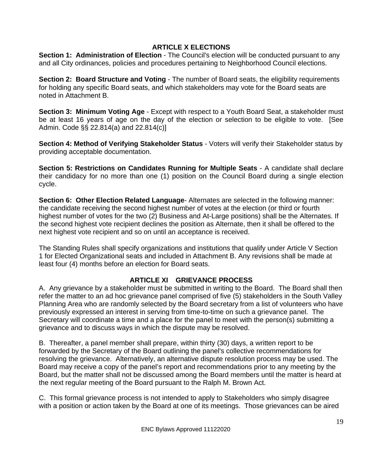#### **ARTICLE X ELECTIONS**

**Section 1: Administration of Election** - The Council's election will be conducted pursuant to any and all City ordinances, policies and procedures pertaining to Neighborhood Council elections.

**Section 2: Board Structure and Voting - The number of Board seats, the eligibility requirements** for holding any specific Board seats, and which stakeholders may vote for the Board seats are noted in Attachment B.

**Section 3: Minimum Voting Age** - Except with respect to a Youth Board Seat, a stakeholder must be at least 16 years of age on the day of the election or selection to be eligible to vote. [See Admin. Code §§ 22.814(a) and 22.814(c)]

**Section 4: Method of Verifying Stakeholder Status** - Voters will verify their Stakeholder status by providing acceptable documentation.

**Section 5: Restrictions on Candidates Running for Multiple Seats** - A candidate shall declare their candidacy for no more than one (1) position on the Council Board during a single election cycle.

**Section 6: Other Election Related Language**- Alternates are selected in the following manner: the candidate receiving the second highest number of votes at the election (or third or fourth highest number of votes for the two (2) Business and At-Large positions) shall be the Alternates. If the second highest vote recipient declines the position as Alternate, then it shall be offered to the next highest vote recipient and so on until an acceptance is received.

The Standing Rules shall specify organizations and institutions that qualify under Article V Section 1 for Elected Organizational seats and included in Attachment B. Any revisions shall be made at least four (4) months before an election for Board seats.

# **ARTICLE XI GRIEVANCE PROCESS**

A. Any grievance by a stakeholder must be submitted in writing to the Board. The Board shall then refer the matter to an ad hoc grievance panel comprised of five (5) stakeholders in the South Valley Planning Area who are randomly selected by the Board secretary from a list of volunteers who have previously expressed an interest in serving from time-to-time on such a grievance panel. The Secretary will coordinate a time and a place for the panel to meet with the person(s) submitting a grievance and to discuss ways in which the dispute may be resolved.

B. Thereafter, a panel member shall prepare, within thirty (30) days, a written report to be forwarded by the Secretary of the Board outlining the panel's collective recommendations for resolving the grievance. Alternatively, an alternative dispute resolution process may be used. The Board may receive a copy of the panel's report and recommendations prior to any meeting by the Board, but the matter shall not be discussed among the Board members until the matter is heard at the next regular meeting of the Board pursuant to the Ralph M. Brown Act.

C. This formal grievance process is not intended to apply to Stakeholders who simply disagree with a position or action taken by the Board at one of its meetings. Those grievances can be aired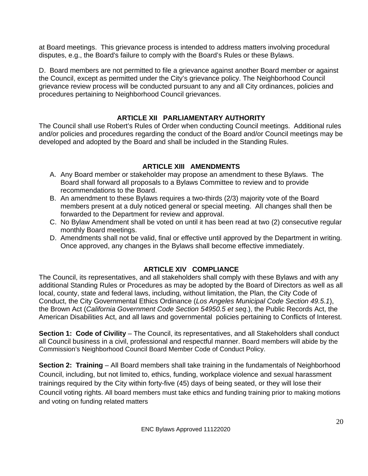at Board meetings. This grievance process is intended to address matters involving procedural disputes, e.g., the Board's failure to comply with the Board's Rules or these Bylaws.

D. Board members are not permitted to file a grievance against another Board member or against the Council, except as permitted under the City's grievance policy. The Neighborhood Council grievance review process will be conducted pursuant to any and all City ordinances, policies and procedures pertaining to Neighborhood Council grievances.

# **ARTICLE XII PARLIAMENTARY AUTHORITY**

The Council shall use Robert's Rules of Order when conducting Council meetings. Additional rules and/or policies and procedures regarding the conduct of the Board and/or Council meetings may be developed and adopted by the Board and shall be included in the Standing Rules.

# **ARTICLE XIII AMENDMENTS**

- A. Any Board member or stakeholder may propose an amendment to these Bylaws. The Board shall forward all proposals to a Bylaws Committee to review and to provide recommendations to the Board.
- B. An amendment to these Bylaws requires a two-thirds (2/3) majority vote of the Board members present at a duly noticed general or special meeting. All changes shall then be forwarded to the Department for review and approval.
- C. No Bylaw Amendment shall be voted on until it has been read at two (2) consecutive regular monthly Board meetings.
- D. Amendments shall not be valid, final or effective until approved by the Department in writing. Once approved, any changes in the Bylaws shall become effective immediately.

# **ARTICLE XIV COMPLIANCE**

The Council, its representatives, and all stakeholders shall comply with these Bylaws and with any additional Standing Rules or Procedures as may be adopted by the Board of Directors as well as all local, county, state and federal laws, including, without limitation, the Plan, the City Code of Conduct, the City Governmental Ethics Ordinance (*Los Angeles Municipal Code Section 49.5.1*), the Brown Act (*California Government Code Section 54950.5 et seq*.), the Public Records Act, the American Disabilities Act, and all laws and governmental policies pertaining to Conflicts of Interest.

**Section 1: Code of Civility** – The Council, its representatives, and all Stakeholders shall conduct all Council business in a civil, professional and respectful manner. Board members will abide by the Commission's Neighborhood Council Board Member Code of Conduct Policy.

**Section 2: Training** – All Board members shall take training in the fundamentals of Neighborhood Council, including, but not limited to, ethics, funding, workplace violence and sexual harassment trainings required by the City within forty-five (45) days of being seated, or they will lose their Council voting rights. All board members must take ethics and funding training prior to making motions and voting on funding related matters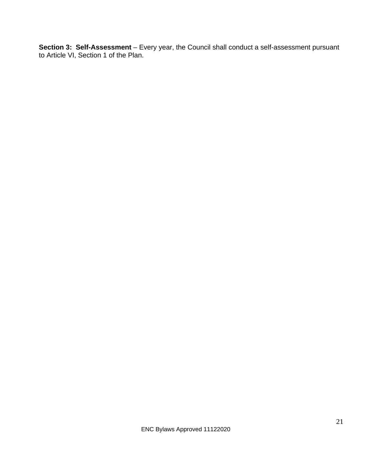**Section 3: Self-Assessment** – Every year, the Council shall conduct a self-assessment pursuant to Article VI, Section 1 of the Plan.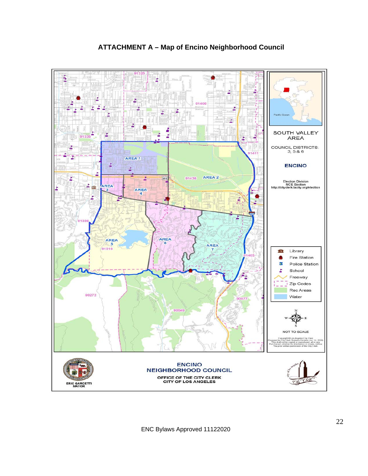

# **ATTACHMENT A – Map of Encino Neighborhood Council**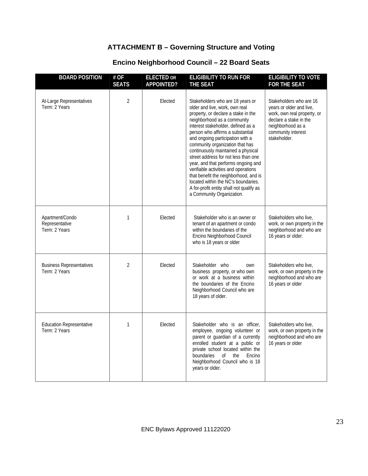# **ATTACHMENT B – Governing Structure and Voting**

| <b>BOARD POSITION</b>                              | # OF<br><b>SEATS</b> | <b>ELECTED OR</b><br><b>APPOINTED?</b> | <b>ELIGIBILITY TO RUN FOR</b><br><b>THE SEAT</b>                                                                                                                                                                                                                                                                                                                                                                                                                                                                                                                                                                | <b>ELIGIBILITY TO VOTE</b><br><b>FOR THE SEAT</b>                                                                                                                       |
|----------------------------------------------------|----------------------|----------------------------------------|-----------------------------------------------------------------------------------------------------------------------------------------------------------------------------------------------------------------------------------------------------------------------------------------------------------------------------------------------------------------------------------------------------------------------------------------------------------------------------------------------------------------------------------------------------------------------------------------------------------------|-------------------------------------------------------------------------------------------------------------------------------------------------------------------------|
| At-Large Representatives<br>Term: 2 Years          | $\overline{2}$       | Elected                                | Stakeholders who are 18 years or<br>older and live, work, own real<br>property, or declare a stake in the<br>neighborhood as a community<br>interest stakeholder, defined as a<br>person who affirms a substantial<br>and ongoing participation with a<br>community organization that has<br>continuously maintained a physical<br>street address for not less than one<br>year, and that performs ongoing and<br>verifiable activities and operations<br>that benefit the neighborhood, and is<br>located within the NC's boundaries.<br>A for-profit entity shall not qualify as<br>a Community Organization. | Stakeholders who are 16<br>years or older and live,<br>work, own real property, or<br>declare a stake in the<br>neighborhood as a<br>community interest<br>stakeholder. |
| Apartment/Condo<br>Representative<br>Term: 2 Years | $\mathbf{1}$         | Elected                                | Stakeholder who is an owner or<br>tenant of an apartment or condo<br>within the boundaries of the<br>Encino Neighborhood Council<br>who is 18 years or older                                                                                                                                                                                                                                                                                                                                                                                                                                                    | Stakeholders who live,<br>work, or own property in the<br>neighborhood and who are<br>16 years or older.                                                                |
| <b>Business Representatives</b><br>Term: 2 Years   | $\overline{2}$       | Elected                                | Stakeholder who<br>own<br>business property, or who own<br>or work at a business within<br>the boundaries of the Encino<br>Neighborhood Council who are<br>18 years of older.                                                                                                                                                                                                                                                                                                                                                                                                                                   | Stakeholders who live,<br>work, or own property in the<br>neighborhood and who are<br>16 years or older                                                                 |
| <b>Education Representative</b><br>Term: 2 Years   | $\mathbf{1}$         | Elected                                | Stakeholder who is an officer,<br>employee, ongoing volunteer or<br>parent or guardian of a currently<br>enrolled student at a public or<br>private school located within the<br>boundaries<br>of the<br>Encino<br>Neighborhood Council who is 18<br>years or older.                                                                                                                                                                                                                                                                                                                                            | Stakeholders who live,<br>work, or own property in the<br>neighborhood and who are<br>16 years or older                                                                 |

# **Encino Neighborhood Council – 22 Board Seats**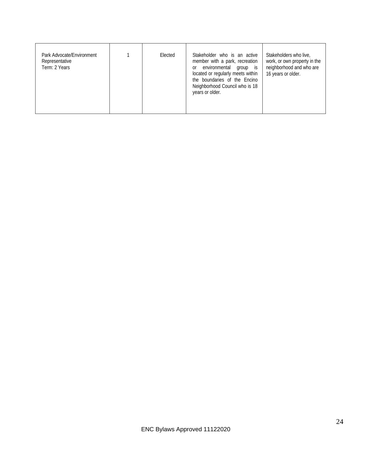| Park Advocate/Environment<br>Representative<br>Term: 2 Years |  | Elected | Stakeholder who is an active<br>member with a park, recreation<br>environmental<br>group is<br>or<br>located or regularly meets within<br>the boundaries of the Encino<br>Neighborhood Council who is 18<br>years or older. | Stakeholders who live,<br>work, or own property in the<br>neighborhood and who are<br>16 years or older. |
|--------------------------------------------------------------|--|---------|-----------------------------------------------------------------------------------------------------------------------------------------------------------------------------------------------------------------------------|----------------------------------------------------------------------------------------------------------|
|--------------------------------------------------------------|--|---------|-----------------------------------------------------------------------------------------------------------------------------------------------------------------------------------------------------------------------------|----------------------------------------------------------------------------------------------------------|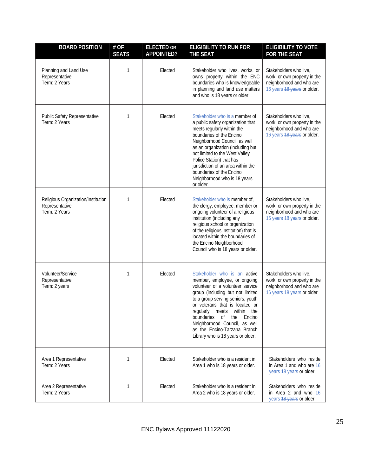| <b>BOARD POSITION</b>                                                 | # OF<br><b>SEATS</b> | <b>ELECTED OR</b><br><b>APPOINTED?</b> | <b>ELIGIBILITY TO RUN FOR</b><br>THE SEAT                                                                                                                                                                                                                                                                                                                                        | <b>ELIGIBILITY TO VOTE</b><br><b>FOR THE SEAT</b>                                                                 |
|-----------------------------------------------------------------------|----------------------|----------------------------------------|----------------------------------------------------------------------------------------------------------------------------------------------------------------------------------------------------------------------------------------------------------------------------------------------------------------------------------------------------------------------------------|-------------------------------------------------------------------------------------------------------------------|
| Planning and Land Use<br>Representative<br>Term: 2 Years              | 1                    | Elected                                | Stakeholder who lives, works, or<br>owns property within the ENC<br>boundaries who is knowledgeable<br>in planning and land use matters<br>and who is 18 years or older                                                                                                                                                                                                          | Stakeholders who live,<br>work, or own property in the<br>neighborhood and who are<br>16 years 18 years or older. |
| Public Safety Representative<br>Term: 2 Years                         | 1                    | Elected                                | Stakeholder who is a member of<br>a public safety organization that<br>meets regularly within the<br>boundaries of the Encino<br>Neighborhood Council, as well<br>as an organization (including but<br>not limited to the West Valley<br>Police Station) that has<br>jurisdiction of an area within the<br>boundaries of the Encino<br>Neighborhood who is 18 years<br>or older. | Stakeholders who live,<br>work, or own property in the<br>neighborhood and who are<br>16 years 18 years or older. |
| Religious Organization/Institution<br>Representative<br>Term: 2 Years | 1                    | Elected                                | Stakeholder who is member of,<br>the clergy, employee, member or<br>ongoing volunteer of a religious<br>institution (including any<br>religious school or organization<br>of the religious institution) that is<br>located within the boundaries of<br>the Encino Neighborhood<br>Council who is 18 years or older.                                                              | Stakeholders who live,<br>work, or own property in the<br>neighborhood and who are<br>16 years 18 years or older. |
| Volunteer/Service<br>Representative<br>Term: 2 years                  | 1                    | Elected                                | Stakeholder who is an active<br>member, employee, or ongoing<br>volunteer of a volunteer service<br>group (including but not limited<br>to a group serving seniors, youth<br>or veterans that is located or<br>regularly meets within the<br>boundaries of the<br>Encino<br>Neighborhood Council, as well<br>as the Encino-Tarzana Branch<br>Library who is 18 years or older.   | Stakeholders who live,<br>work, or own property in the<br>neighborhood and who are<br>16 years 18 years or older  |
| Area 1 Representative<br>Term: 2 Years                                | 1                    | Elected                                | Stakeholder who is a resident in<br>Area 1 who is 18 years or older.                                                                                                                                                                                                                                                                                                             | Stakeholders who reside<br>in Area 1 and who are 16<br>years 18 years or older.                                   |
| Area 2 Representative<br>Term: 2 Years                                | 1                    | Elected                                | Stakeholder who is a resident in<br>Area 2 who is 18 years or older.                                                                                                                                                                                                                                                                                                             | Stakeholders who reside<br>in Area 2 and who 16<br>years 48 years or older.                                       |